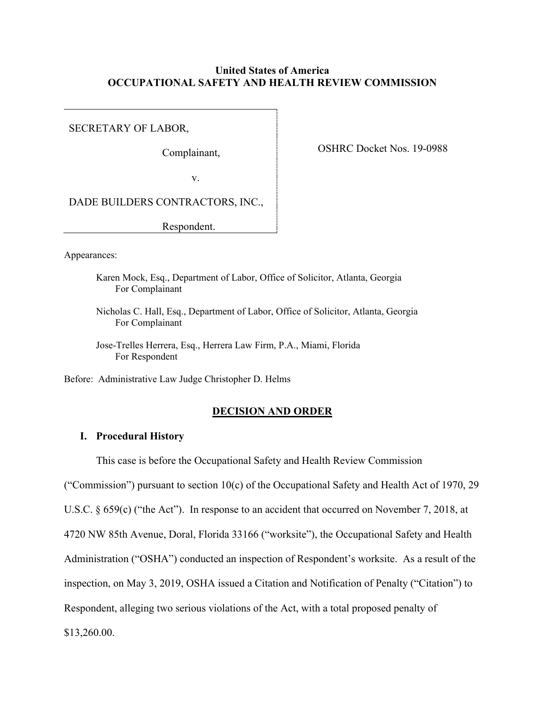# **United States of America OCCUPATIONAL SAFETY AND HEALTH REVIEW COMMISSION**

SECRETARY OF LABOR,

Complainant,

OSHRC Docket Nos. 19-0988

v.

DADE BUILDERS CONTRACTORS, INC.,

Respondent.

Appearances:

- Karen Mock, Esq., Department of Labor, Office of Solicitor, Atlanta, Georgia For Complainant
- Nicholas C. Hall, Esq., Department of Labor, Office of Solicitor, Atlanta, Georgia For Complainant
- Jose-Trelles Herrera, Esq., Herrera Law Firm, P.A., Miami, Florida For Respondent

Before: Administrative Law Judge Christopher D. Helms

#### **DECISION AND ORDER**

# **I. Procedural History**

This case is before the Occupational Safety and Health Review Commission

("Commission") pursuant to section 10(c) of the Occupational Safety and Health Act of 1970, 29 U.S.C. § 659(c) ("the Act"). In response to an accident that occurred on November 7, 2018, at

4720 NW 85th Avenue, Doral, Florida 33166 ("worksite"), the Occupational Safety and Health

Administration ("OSHA") conducted an inspection of Respondent's worksite. As a result of the

inspection, on May 3, 2019, OSHA issued a Citation and Notification of Penalty ("Citation") to

Respondent, alleging two serious violations of the Act, with a total proposed penalty of

\$13,260.00.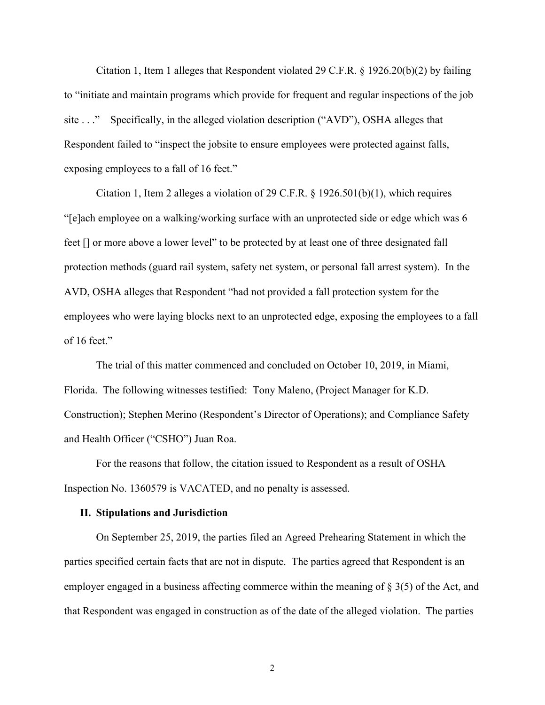Citation 1, Item 1 alleges that Respondent violated 29 C.F.R. § 1926.20(b)(2) by failing to "initiate and maintain programs which provide for frequent and regular inspections of the job site . . ." Specifically, in the alleged violation description ("AVD"), OSHA alleges that Respondent failed to "inspect the jobsite to ensure employees were protected against falls, exposing employees to a fall of 16 feet."

 Citation 1, Item 2 alleges a violation of 29 C.F.R. § 1926.501(b)(1), which requires "[e]ach employee on a walking/working surface with an unprotected side or edge which was 6 feet [] or more above a lower level" to be protected by at least one of three designated fall protection methods (guard rail system, safety net system, or personal fall arrest system). In the AVD, OSHA alleges that Respondent "had not provided a fall protection system for the employees who were laying blocks next to an unprotected edge, exposing the employees to a fall of 16 feet."

 The trial of this matter commenced and concluded on October 10, 2019, in Miami, Florida. The following witnesses testified: Tony Maleno, (Project Manager for K.D. Construction); Stephen Merino (Respondent's Director of Operations); and Compliance Safety and Health Officer ("CSHO") Juan Roa.

 For the reasons that follow, the citation issued to Respondent as a result of OSHA Inspection No. 1360579 is VACATED, and no penalty is assessed.

#### **II. Stipulations and Jurisdiction**

 On September 25, 2019, the parties filed an Agreed Prehearing Statement in which the parties specified certain facts that are not in dispute. The parties agreed that Respondent is an employer engaged in a business affecting commerce within the meaning of § 3(5) of the Act, and that Respondent was engaged in construction as of the date of the alleged violation. The parties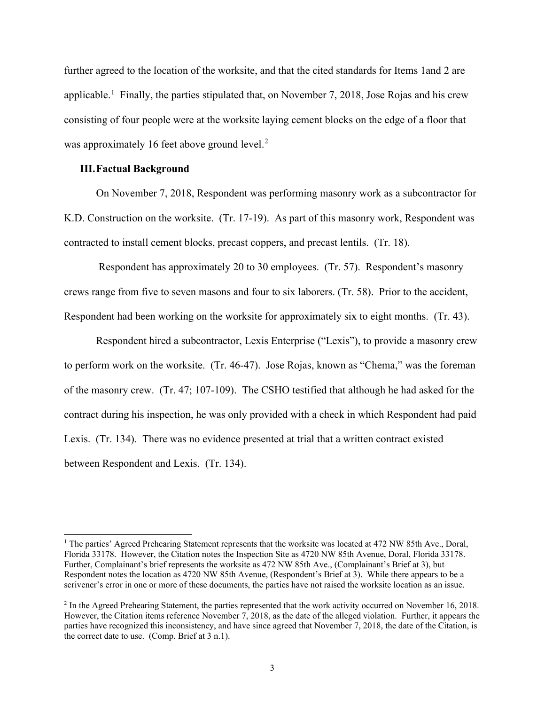further agreed to the location of the worksite, and that the cited standards for Items 1and 2 are applicable.<sup>[1](#page-2-0)</sup> Finally, the parties stipulated that, on November 7, 2018, Jose Rojas and his crew consisting of four people were at the worksite laying cement blocks on the edge of a floor that was approximately 16 feet above ground level.<sup>[2](#page-2-1)</sup>

### **III.Factual Background**

 On November 7, 2018, Respondent was performing masonry work as a subcontractor for K.D. Construction on the worksite. (Tr. 17-19). As part of this masonry work, Respondent was contracted to install cement blocks, precast coppers, and precast lentils. (Tr. 18).

 Respondent has approximately 20 to 30 employees. (Tr. 57). Respondent's masonry crews range from five to seven masons and four to six laborers. (Tr. 58). Prior to the accident, Respondent had been working on the worksite for approximately six to eight months. (Tr. 43).

 Respondent hired a subcontractor, Lexis Enterprise ("Lexis"), to provide a masonry crew to perform work on the worksite. (Tr. 46-47). Jose Rojas, known as "Chema," was the foreman of the masonry crew. (Tr. 47; 107-109). The CSHO testified that although he had asked for the contract during his inspection, he was only provided with a check in which Respondent had paid Lexis. (Tr. 134). There was no evidence presented at trial that a written contract existed between Respondent and Lexis. (Tr. 134).

<span id="page-2-0"></span><sup>&</sup>lt;sup>1</sup> The parties' Agreed Prehearing Statement represents that the worksite was located at 472 NW 85th Ave., Doral, Florida 33178. However, the Citation notes the Inspection Site as 4720 NW 85th Avenue, Doral, Florida 33178. Further, Complainant's brief represents the worksite as 472 NW 85th Ave., (Complainant's Brief at 3), but Respondent notes the location as 4720 NW 85th Avenue, (Respondent's Brief at 3). While there appears to be a scrivener's error in one or more of these documents, the parties have not raised the worksite location as an issue.

<span id="page-2-1"></span><sup>&</sup>lt;sup>2</sup> In the Agreed Prehearing Statement, the parties represented that the work activity occurred on November 16, 2018. However, the Citation items reference November 7, 2018, as the date of the alleged violation. Further, it appears the parties have recognized this inconsistency, and have since agreed that November 7, 2018, the date of the Citation, is the correct date to use. (Comp. Brief at 3 n.1).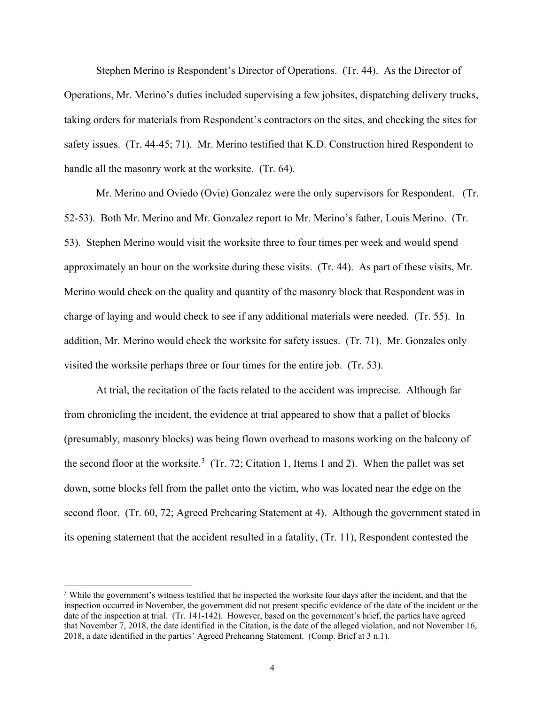Stephen Merino is Respondent's Director of Operations. (Tr. 44). As the Director of Operations, Mr. Merino's duties included supervising a few jobsites, dispatching delivery trucks, taking orders for materials from Respondent's contractors on the sites, and checking the sites for safety issues. (Tr. 44-45; 71). Mr. Merino testified that K.D. Construction hired Respondent to handle all the masonry work at the worksite. (Tr. 64).

 Mr. Merino and Oviedo (Ovie) Gonzalez were the only supervisors for Respondent. (Tr. 52-53). Both Mr. Merino and Mr. Gonzalez report to Mr. Merino's father, Louis Merino. (Tr. 53). Stephen Merino would visit the worksite three to four times per week and would spend approximately an hour on the worksite during these visits. (Tr. 44). As part of these visits, Mr. Merino would check on the quality and quantity of the masonry block that Respondent was in charge of laying and would check to see if any additional materials were needed. (Tr. 55). In addition, Mr. Merino would check the worksite for safety issues. (Tr. 71). Mr. Gonzales only visited the worksite perhaps three or four times for the entire job. (Tr. 53).

At trial, the recitation of the facts related to the accident was imprecise. Although far from chronicling the incident, the evidence at trial appeared to show that a pallet of blocks (presumably, masonry blocks) was being flown overhead to masons working on the balcony of the second floor at the worksite.<sup>[3](#page-3-0)</sup> (Tr. 72; Citation 1, Items 1 and 2). When the pallet was set down, some blocks fell from the pallet onto the victim, who was located near the edge on the second floor. (Tr. 60, 72; Agreed Prehearing Statement at 4). Although the government stated in its opening statement that the accident resulted in a fatality, (Tr. 11), Respondent contested the

<span id="page-3-0"></span><sup>&</sup>lt;sup>3</sup> While the government's witness testified that he inspected the worksite four days after the incident, and that the inspection occurred in November, the government did not present specific evidence of the date of the incident or the date of the inspection at trial. (Tr. 141-142). However, based on the government's brief, the parties have agreed that November 7, 2018, the date identified in the Citation, is the date of the alleged violation, and not November 16, 2018, a date identified in the parties' Agreed Prehearing Statement. (Comp. Brief at 3 n.1).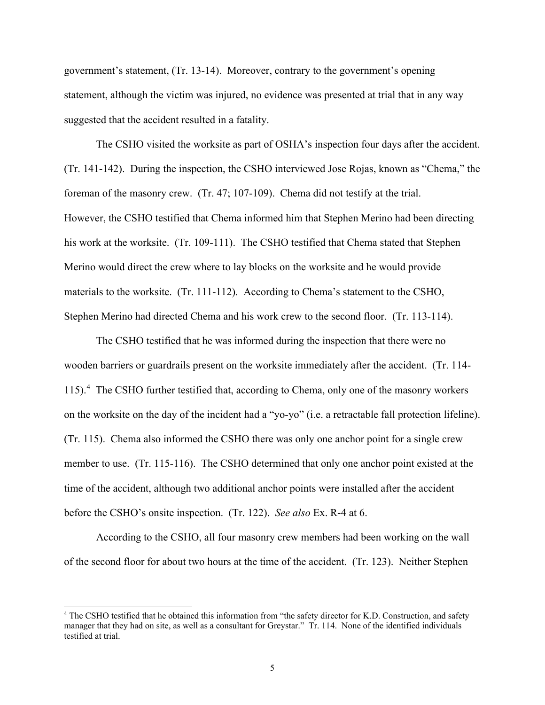government's statement, (Tr. 13-14). Moreover, contrary to the government's opening statement, although the victim was injured, no evidence was presented at trial that in any way suggested that the accident resulted in a fatality.

 The CSHO visited the worksite as part of OSHA's inspection four days after the accident. (Tr. 141-142). During the inspection, the CSHO interviewed Jose Rojas, known as "Chema," the foreman of the masonry crew. (Tr. 47; 107-109). Chema did not testify at the trial. However, the CSHO testified that Chema informed him that Stephen Merino had been directing his work at the worksite. (Tr. 109-111). The CSHO testified that Chema stated that Stephen Merino would direct the crew where to lay blocks on the worksite and he would provide materials to the worksite. (Tr. 111-112). According to Chema's statement to the CSHO, Stephen Merino had directed Chema and his work crew to the second floor. (Tr. 113-114).

The CSHO testified that he was informed during the inspection that there were no wooden barriers or guardrails present on the worksite immediately after the accident. (Tr. 114- 115).[4](#page-4-0) The CSHO further testified that, according to Chema, only one of the masonry workers on the worksite on the day of the incident had a "yo-yo" (i.e. a retractable fall protection lifeline). (Tr. 115). Chema also informed the CSHO there was only one anchor point for a single crew member to use. (Tr. 115-116). The CSHO determined that only one anchor point existed at the time of the accident, although two additional anchor points were installed after the accident before the CSHO's onsite inspection. (Tr. 122). *See also* Ex. R-4 at 6.

 According to the CSHO, all four masonry crew members had been working on the wall of the second floor for about two hours at the time of the accident. (Tr. 123). Neither Stephen

<span id="page-4-0"></span><sup>4</sup> The CSHO testified that he obtained this information from "the safety director for K.D. Construction, and safety manager that they had on site, as well as a consultant for Greystar." Tr. 114. None of the identified individuals testified at trial.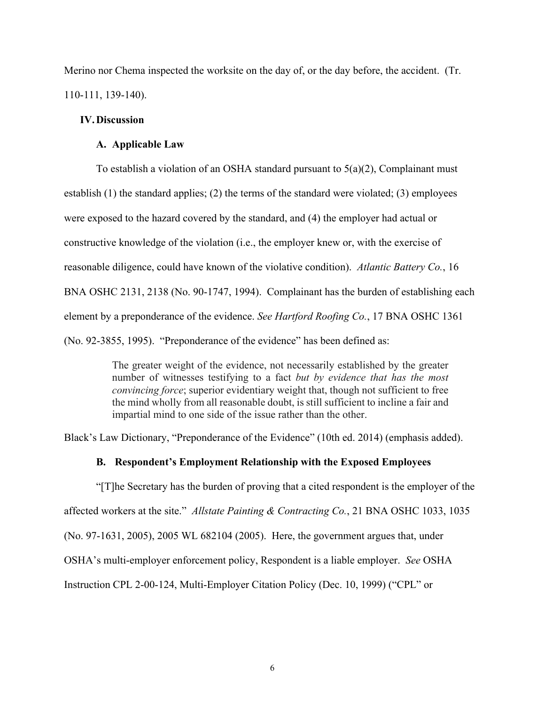Merino nor Chema inspected the worksite on the day of, or the day before, the accident. (Tr. 110-111, 139-140).

# **IV.Discussion**

# **A. Applicable Law**

To establish a violation of an OSHA standard pursuant to  $5(a)(2)$ , Complainant must establish (1) the standard applies; (2) the terms of the standard were violated; (3) employees were exposed to the hazard covered by the standard, and (4) the employer had actual or constructive knowledge of the violation (i.e., the employer knew or, with the exercise of reasonable diligence, could have known of the violative condition). *Atlantic Battery Co.*, 16 BNA OSHC 2131, 2138 (No. 90-1747, 1994). Complainant has the burden of establishing each element by a preponderance of the evidence. *See Hartford Roofing Co.*, 17 BNA OSHC 1361 (No. 92-3855, 1995). "Preponderance of the evidence" has been defined as:

> The greater weight of the evidence, not necessarily established by the greater number of witnesses testifying to a fact *but by evidence that has the most convincing force*; superior evidentiary weight that, though not sufficient to free the mind wholly from all reasonable doubt, is still sufficient to incline a fair and impartial mind to one side of the issue rather than the other.

Black's Law Dictionary, "Preponderance of the Evidence" (10th ed. 2014) (emphasis added).

### **B. Respondent's Employment Relationship with the Exposed Employees**

"[T]he Secretary has the burden of proving that a cited respondent is the employer of the affected workers at the site." *Allstate Painting & Contracting Co.*, 21 BNA OSHC 1033, 1035 (No. 97-1631, 2005), 2005 WL 682104 (2005). Here, the government argues that, under OSHA's multi-employer enforcement policy, Respondent is a liable employer. *See* OSHA Instruction CPL 2-00-124, Multi-Employer Citation Policy (Dec. 10, 1999) ("CPL" or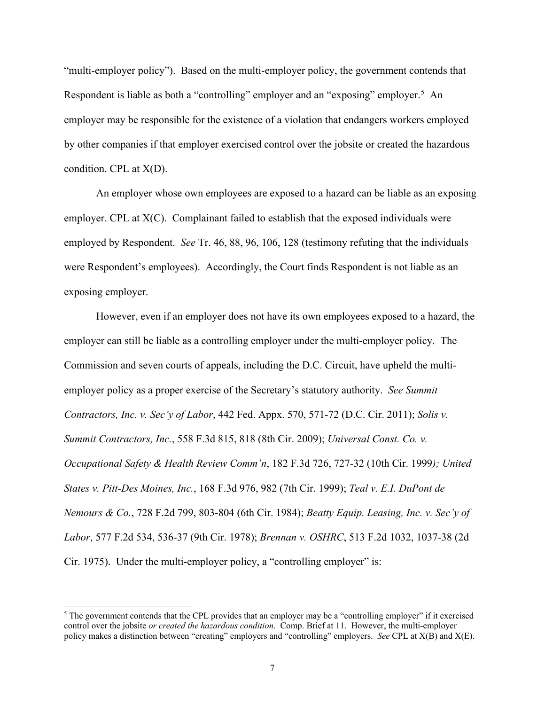"multi-employer policy"). Based on the multi-employer policy, the government contends that Respondent is liable as both a "controlling" employer and an "exposing" employer.<sup>[5](#page-6-0)</sup> An employer may be responsible for the existence of a violation that endangers workers employed by other companies if that employer exercised control over the jobsite or created the hazardous condition. CPL at X(D).

An employer whose own employees are exposed to a hazard can be liable as an exposing employer. CPL at  $X(C)$ . Complainant failed to establish that the exposed individuals were employed by Respondent. *See* Tr. 46, 88, 96, 106, 128 (testimony refuting that the individuals were Respondent's employees). Accordingly, the Court finds Respondent is not liable as an exposing employer.

However, even if an employer does not have its own employees exposed to a hazard, the employer can still be liable as a controlling employer under the multi-employer policy. The Commission and seven courts of appeals, including the D.C. Circuit, have upheld the multiemployer policy as a proper exercise of the Secretary's statutory authority. *See Summit Contractors, Inc. v. Sec'y of Labor*, 442 Fed. Appx. 570, 571-72 (D.C. Cir. 2011); *Solis v. Summit Contractors, Inc.*, 558 F.3d 815, 818 (8th Cir. 2009); *Universal Const. Co. v. Occupational Safety & Health Review Comm'n*, 182 F.3d 726, 727-32 (10th Cir. 1999*); United States v. Pitt-Des Moines, Inc.*, 168 F.3d 976, 982 (7th Cir. 1999); *Teal v. E.I. DuPont de Nemours & Co.*, 728 F.2d 799, 803-804 (6th Cir. 1984); *Beatty Equip. Leasing, Inc. v. Sec'y of Labor*, 577 F.2d 534, 536-37 (9th Cir. 1978); *Brennan v. OSHRC*, 513 F.2d 1032, 1037-38 (2d Cir. 1975). Under the multi-employer policy, a "controlling employer" is:

<span id="page-6-0"></span><sup>&</sup>lt;sup>5</sup> The government contends that the CPL provides that an employer may be a "controlling employer" if it exercised control over the jobsite *or created the hazardous condition*. Comp. Brief at 11. However, the multi-employer policy makes a distinction between "creating" employers and "controlling" employers. *See* CPL at X(B) and X(E).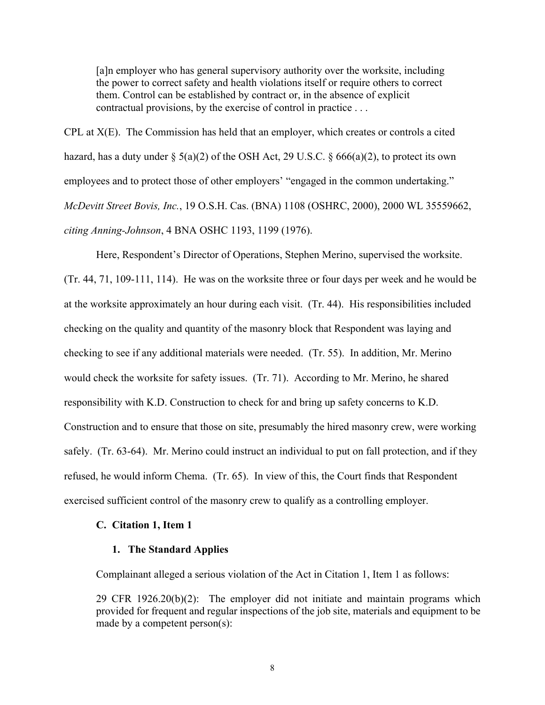[a]n employer who has general supervisory authority over the worksite, including the power to correct safety and health violations itself or require others to correct them. Control can be established by contract or, in the absence of explicit contractual provisions, by the exercise of control in practice . . .

CPL at X(E). The Commission has held that an employer, which creates or controls a cited hazard, has a duty under  $\S$  5(a)(2) of the OSH Act, 29 U.S.C.  $\S$  666(a)(2), to protect its own employees and to protect those of other employers' "engaged in the common undertaking." *McDevitt Street Bovis, Inc.*, 19 O.S.H. Cas. (BNA) 1108 (OSHRC, 2000), 2000 WL 35559662, *citing Anning-Johnson*, 4 BNA OSHC 1193, 1199 (1976).

Here, Respondent's Director of Operations, Stephen Merino, supervised the worksite. (Tr. 44, 71, 109-111, 114). He was on the worksite three or four days per week and he would be at the worksite approximately an hour during each visit. (Tr. 44). His responsibilities included checking on the quality and quantity of the masonry block that Respondent was laying and checking to see if any additional materials were needed. (Tr. 55). In addition, Mr. Merino would check the worksite for safety issues. (Tr. 71). According to Mr. Merino, he shared responsibility with K.D. Construction to check for and bring up safety concerns to K.D. Construction and to ensure that those on site, presumably the hired masonry crew, were working safely. (Tr. 63-64). Mr. Merino could instruct an individual to put on fall protection, and if they refused, he would inform Chema. (Tr. 65). In view of this, the Court finds that Respondent exercised sufficient control of the masonry crew to qualify as a controlling employer.

### **C. Citation 1, Item 1**

## **1. The Standard Applies**

Complainant alleged a serious violation of the Act in Citation 1, Item 1 as follows:

29 CFR 1926.20(b)(2): The employer did not initiate and maintain programs which provided for frequent and regular inspections of the job site, materials and equipment to be made by a competent person(s):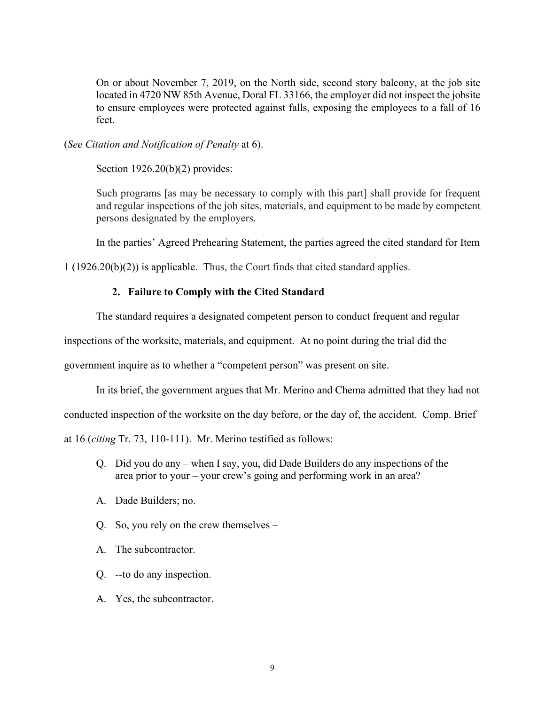On or about November 7, 2019, on the North side, second story balcony, at the job site located in 4720 NW 85th Avenue, Doral FL 33166, the employer did not inspect the jobsite to ensure employees were protected against falls, exposing the employees to a fall of 16 feet.

(*See Citation and Notification of Penalty* at 6).

Section 1926.20(b)(2) provides:

Such programs [as may be necessary to comply with this part] shall provide for frequent and regular inspections of the job sites, materials, and equipment to be made by competent persons designated by the employers.

In the parties' Agreed Prehearing Statement, the parties agreed the cited standard for Item

1 (1926.20(b)(2)) is applicable. Thus, the Court finds that cited standard applies.

# **2. Failure to Comply with the Cited Standard**

The standard requires a designated competent person to conduct frequent and regular

inspections of the worksite, materials, and equipment. At no point during the trial did the

government inquire as to whether a "competent person" was present on site.

In its brief, the government argues that Mr. Merino and Chema admitted that they had not

conducted inspection of the worksite on the day before, or the day of, the accident. Comp. Brief

at 16 (*citing* Tr. 73, 110-111). Mr. Merino testified as follows:

- Q. Did you do any when I say, you, did Dade Builders do any inspections of the area prior to your – your crew's going and performing work in an area?
- A. Dade Builders; no.
- Q. So, you rely on the crew themselves –
- A. The subcontractor.
- Q. --to do any inspection.
- A. Yes, the subcontractor.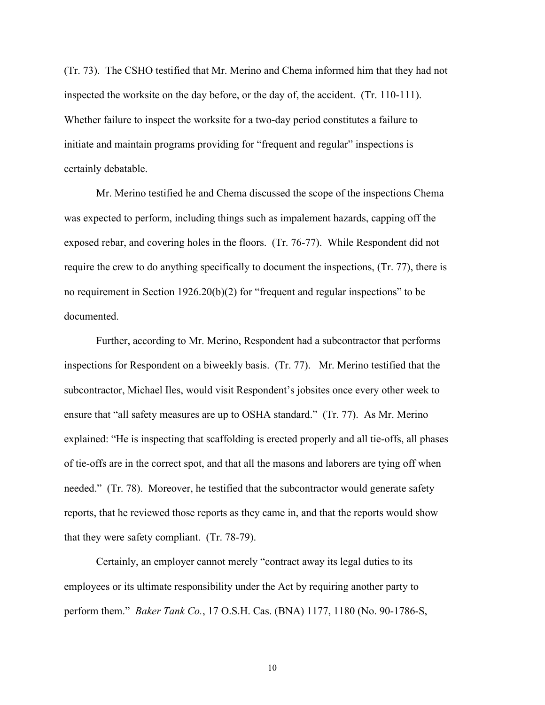(Tr. 73). The CSHO testified that Mr. Merino and Chema informed him that they had not inspected the worksite on the day before, or the day of, the accident. (Tr. 110-111). Whether failure to inspect the worksite for a two-day period constitutes a failure to initiate and maintain programs providing for "frequent and regular" inspections is certainly debatable.

 Mr. Merino testified he and Chema discussed the scope of the inspections Chema was expected to perform, including things such as impalement hazards, capping off the exposed rebar, and covering holes in the floors. (Tr. 76-77). While Respondent did not require the crew to do anything specifically to document the inspections, (Tr. 77), there is no requirement in Section 1926.20(b)(2) for "frequent and regular inspections" to be documented.

 Further, according to Mr. Merino, Respondent had a subcontractor that performs inspections for Respondent on a biweekly basis. (Tr. 77). Mr. Merino testified that the subcontractor, Michael Iles, would visit Respondent's jobsites once every other week to ensure that "all safety measures are up to OSHA standard." (Tr. 77). As Mr. Merino explained: "He is inspecting that scaffolding is erected properly and all tie-offs, all phases of tie-offs are in the correct spot, and that all the masons and laborers are tying off when needed." (Tr. 78). Moreover, he testified that the subcontractor would generate safety reports, that he reviewed those reports as they came in, and that the reports would show that they were safety compliant. (Tr. 78-79).

Certainly, an employer cannot merely "contract away its legal duties to its employees or its ultimate responsibility under the Act by requiring another party to perform them." *Baker Tank Co.*, 17 O.S.H. Cas. (BNA) 1177, 1180 (No. 90-1786-S,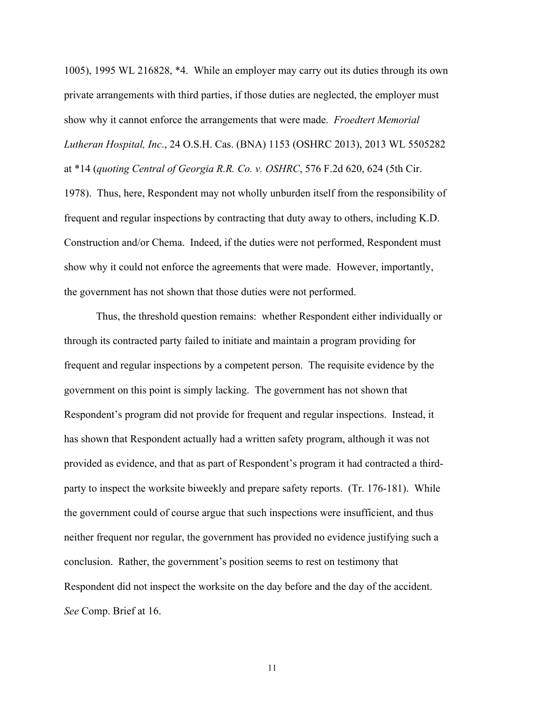1005), 1995 WL 216828, \*4. While an employer may carry out its duties through its own private arrangements with third parties, if those duties are neglected, the employer must show why it cannot enforce the arrangements that were made. *Froedtert Memorial Lutheran Hospital, Inc*., 24 O.S.H. Cas. (BNA) 1153 (OSHRC 2013), 2013 WL 5505282 at \*14 (*quoting Central of Georgia R.R. Co. v. OSHRC*, 576 F.2d 620, 624 (5th Cir. 1978). Thus, here, Respondent may not wholly unburden itself from the responsibility of frequent and regular inspections by contracting that duty away to others, including K.D. Construction and/or Chema. Indeed, if the duties were not performed, Respondent must show why it could not enforce the agreements that were made. However, importantly, the government has not shown that those duties were not performed.

 Thus, the threshold question remains: whether Respondent either individually or through its contracted party failed to initiate and maintain a program providing for frequent and regular inspections by a competent person. The requisite evidence by the government on this point is simply lacking. The government has not shown that Respondent's program did not provide for frequent and regular inspections. Instead, it has shown that Respondent actually had a written safety program, although it was not provided as evidence, and that as part of Respondent's program it had contracted a thirdparty to inspect the worksite biweekly and prepare safety reports. (Tr. 176-181). While the government could of course argue that such inspections were insufficient, and thus neither frequent nor regular, the government has provided no evidence justifying such a conclusion. Rather, the government's position seems to rest on testimony that Respondent did not inspect the worksite on the day before and the day of the accident. *See* Comp. Brief at 16.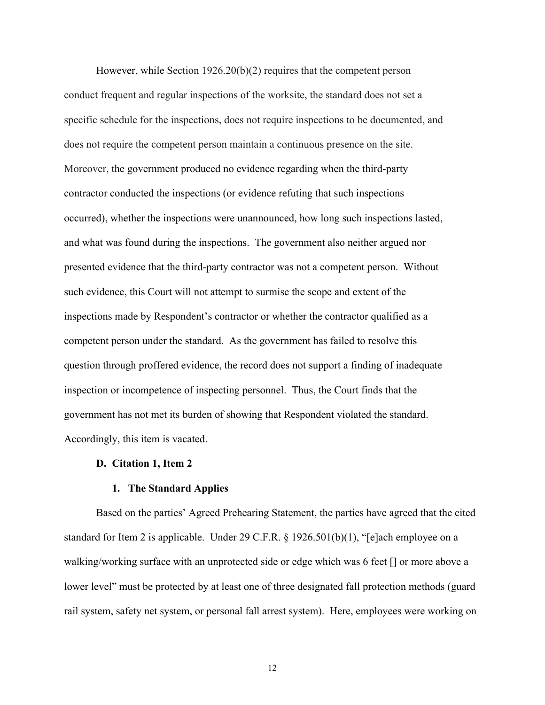However, while Section 1926.20(b)(2) requires that the competent person conduct frequent and regular inspections of the worksite, the standard does not set a specific schedule for the inspections, does not require inspections to be documented, and does not require the competent person maintain a continuous presence on the site. Moreover, the government produced no evidence regarding when the third-party contractor conducted the inspections (or evidence refuting that such inspections occurred), whether the inspections were unannounced, how long such inspections lasted, and what was found during the inspections. The government also neither argued nor presented evidence that the third-party contractor was not a competent person. Without such evidence, this Court will not attempt to surmise the scope and extent of the inspections made by Respondent's contractor or whether the contractor qualified as a competent person under the standard. As the government has failed to resolve this question through proffered evidence, the record does not support a finding of inadequate inspection or incompetence of inspecting personnel. Thus, the Court finds that the government has not met its burden of showing that Respondent violated the standard. Accordingly, this item is vacated.

#### **D. Citation 1, Item 2**

#### **1. The Standard Applies**

Based on the parties' Agreed Prehearing Statement, the parties have agreed that the cited standard for Item 2 is applicable. Under 29 C.F.R. § 1926.501(b)(1), "[e]ach employee on a walking/working surface with an unprotected side or edge which was 6 feet [] or more above a lower level" must be protected by at least one of three designated fall protection methods (guard rail system, safety net system, or personal fall arrest system). Here, employees were working on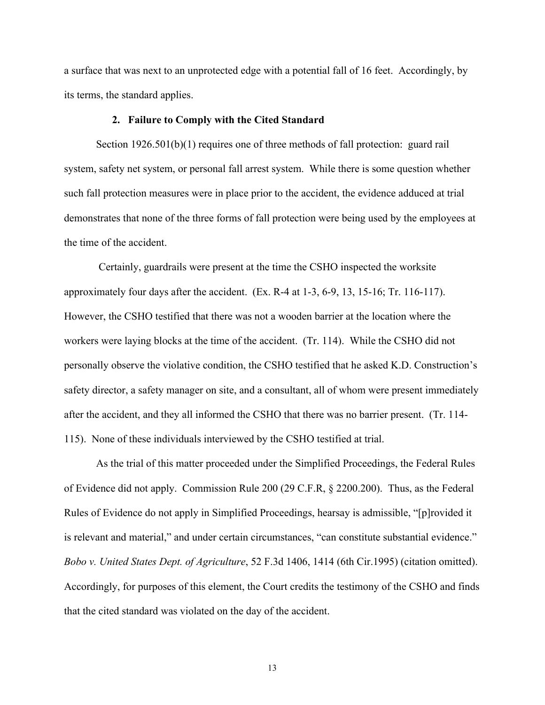a surface that was next to an unprotected edge with a potential fall of 16 feet. Accordingly, by its terms, the standard applies.

### **2. Failure to Comply with the Cited Standard**

Section 1926.501(b)(1) requires one of three methods of fall protection: guard rail system, safety net system, or personal fall arrest system. While there is some question whether such fall protection measures were in place prior to the accident, the evidence adduced at trial demonstrates that none of the three forms of fall protection were being used by the employees at the time of the accident.

 Certainly, guardrails were present at the time the CSHO inspected the worksite approximately four days after the accident. (Ex. R-4 at 1-3, 6-9, 13, 15-16; Tr. 116-117). However, the CSHO testified that there was not a wooden barrier at the location where the workers were laying blocks at the time of the accident. (Tr. 114). While the CSHO did not personally observe the violative condition, the CSHO testified that he asked K.D. Construction's safety director, a safety manager on site, and a consultant, all of whom were present immediately after the accident, and they all informed the CSHO that there was no barrier present. (Tr. 114- 115). None of these individuals interviewed by the CSHO testified at trial.

As the trial of this matter proceeded under the Simplified Proceedings, the Federal Rules of Evidence did not apply. Commission Rule 200 (29 C.F.R, § 2200.200). Thus, as the Federal Rules of Evidence do not apply in Simplified Proceedings, hearsay is admissible, "[p]rovided it is relevant and material," and under certain circumstances, "can constitute substantial evidence." *Bobo v. United States Dept. of Agriculture*, 52 F.3d 1406, 1414 (6th Cir.1995) (citation omitted). Accordingly, for purposes of this element, the Court credits the testimony of the CSHO and finds that the cited standard was violated on the day of the accident.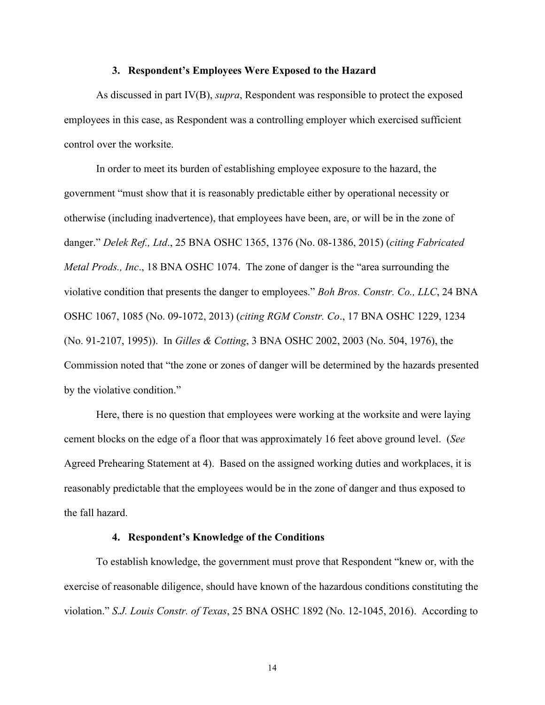#### **3. Respondent's Employees Were Exposed to the Hazard**

 As discussed in part IV(B), *supra*, Respondent was responsible to protect the exposed employees in this case, as Respondent was a controlling employer which exercised sufficient control over the worksite.

 In order to meet its burden of establishing employee exposure to the hazard, the government "must show that it is reasonably predictable either by operational necessity or otherwise (including inadvertence), that employees have been, are, or will be in the zone of danger." *Delek Ref., Ltd*., 25 BNA OSHC 1365, 1376 (No. 08-1386, 2015) (*citing Fabricated Metal Prods., Inc*., 18 BNA OSHC 1074. The zone of danger is the "area surrounding the violative condition that presents the danger to employees." *Boh Bros. Constr. Co., LLC*, 24 BNA OSHC 1067, 1085 (No. 09-1072, 2013) (*citing RGM Constr. Co*., 17 BNA OSHC 1229, 1234 (No. 91-2107, 1995)). In *Gilles & Cotting*, 3 BNA OSHC 2002, 2003 (No. 504, 1976), the Commission noted that "the zone or zones of danger will be determined by the hazards presented by the violative condition."

 Here, there is no question that employees were working at the worksite and were laying cement blocks on the edge of a floor that was approximately 16 feet above ground level. (*See* Agreed Prehearing Statement at 4). Based on the assigned working duties and workplaces, it is reasonably predictable that the employees would be in the zone of danger and thus exposed to the fall hazard.

### **4. Respondent's Knowledge of the Conditions**

To establish knowledge, the government must prove that Respondent "knew or, with the exercise of reasonable diligence, should have known of the hazardous conditions constituting the violation." *S.J. Louis Constr. of Texas*, 25 BNA OSHC 1892 (No. 12-1045, 2016). According to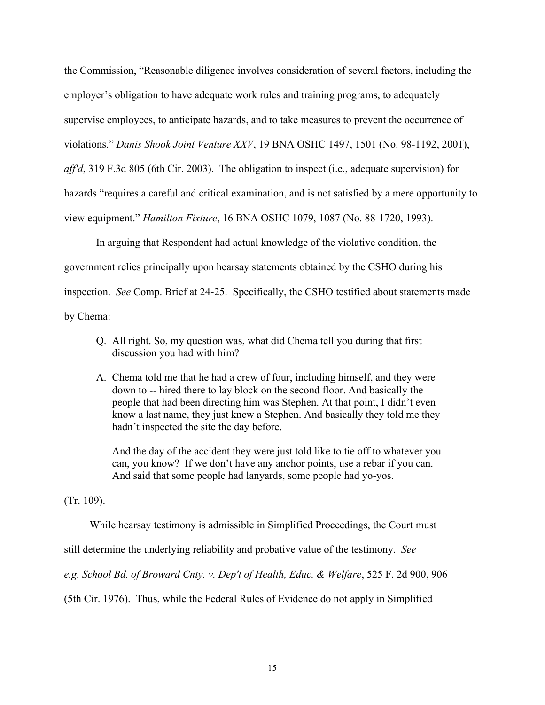the Commission, "Reasonable diligence involves consideration of several factors, including the employer's obligation to have adequate work rules and training programs, to adequately supervise employees, to anticipate hazards, and to take measures to prevent the occurrence of violations." *Danis Shook Joint Venture XXV*, 19 BNA OSHC 1497, 1501 (No. 98-1192, 2001), *aff'd*, 319 F.3d 805 (6th Cir. 2003). The obligation to inspect (i.e., adequate supervision) for hazards "requires a careful and critical examination, and is not satisfied by a mere opportunity to view equipment." *Hamilton Fixture*, 16 BNA OSHC 1079, 1087 (No. 88-1720, 1993).

 In arguing that Respondent had actual knowledge of the violative condition, the government relies principally upon hearsay statements obtained by the CSHO during his inspection. *See* Comp. Brief at 24-25. Specifically, the CSHO testified about statements made by Chema:

- Q. All right. So, my question was, what did Chema tell you during that first discussion you had with him?
- A. Chema told me that he had a crew of four, including himself, and they were down to -- hired there to lay block on the second floor. And basically the people that had been directing him was Stephen. At that point, I didn't even know a last name, they just knew a Stephen. And basically they told me they hadn't inspected the site the day before.

And the day of the accident they were just told like to tie off to whatever you can, you know? If we don't have any anchor points, use a rebar if you can. And said that some people had lanyards, some people had yo-yos.

(Tr. 109).

While hearsay testimony is admissible in Simplified Proceedings, the Court must

still determine the underlying reliability and probative value of the testimony. *See* 

*e.g. [School Bd. of Broward Cnty. v. Dep't of Health, Educ. & Welfare](https://1.next.westlaw.com/Link/Document/FullText?findType=Y&serNum=1976103978&pubNum=0000350&originatingDoc=I1123d544a08611e4a795ac035416da91&refType=RP&fi=co_pp_sp_350_906&originationContext=document&transitionType=DocumentItem&contextData=(sc.UserEnteredCitation)#co_pp_sp_350_906)*, 525 F. 2d 900, 906

[\(5th Cir. 1976\).](https://1.next.westlaw.com/Link/Document/FullText?findType=Y&serNum=1976103978&pubNum=0000350&originatingDoc=I1123d544a08611e4a795ac035416da91&refType=RP&fi=co_pp_sp_350_906&originationContext=document&transitionType=DocumentItem&contextData=(sc.UserEnteredCitation)#co_pp_sp_350_906) Thus, while the Federal Rules of Evidence do not apply in Simplified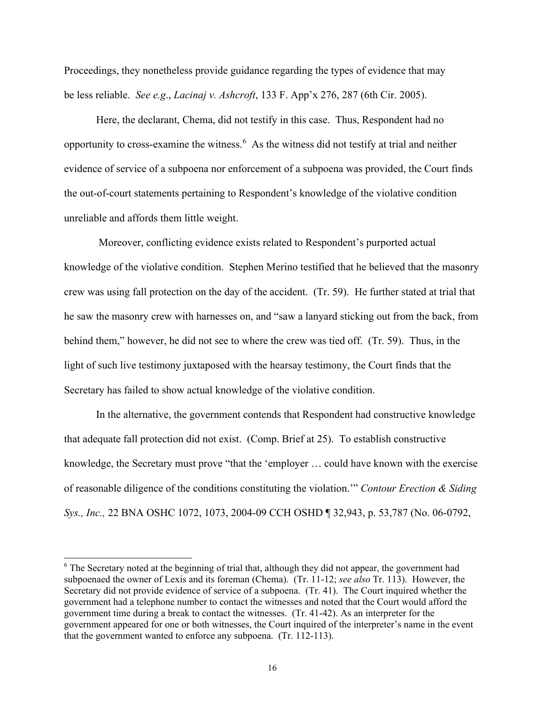Proceedings, they nonetheless provide guidance regarding the types of evidence that may be less reliable. *See e.g*., *Lacinaj v. Ashcroft*[, 133 F. App'x 276, 287 \(6th Cir. 2005\).](https://1.next.westlaw.com/Link/Document/FullText?findType=Y&serNum=2006733525&pubNum=0006538&originatingDoc=I1123d544a08611e4a795ac035416da91&refType=RP&fi=co_pp_sp_6538_287&originationContext=document&transitionType=DocumentItem&contextData=(sc.UserEnteredCitation)#co_pp_sp_6538_287)

 Here, the declarant, Chema, did not testify in this case. Thus, Respondent had no opportunity to cross-examine the witness.<sup>[6](#page-15-0)</sup> As the witness did not testify at trial and neither evidence of service of a subpoena nor enforcement of a subpoena was provided, the Court finds the out-of-court statements pertaining to Respondent's knowledge of the violative condition unreliable and affords them little weight.

 Moreover, conflicting evidence exists related to Respondent's purported actual knowledge of the violative condition. Stephen Merino testified that he believed that the masonry crew was using fall protection on the day of the accident. (Tr. 59). He further stated at trial that he saw the masonry crew with harnesses on, and "saw a lanyard sticking out from the back, from behind them," however, he did not see to where the crew was tied off. (Tr. 59). Thus, in the light of such live testimony juxtaposed with the hearsay testimony, the Court finds that the Secretary has failed to show actual knowledge of the violative condition.

 In the alternative, the government contends that Respondent had constructive knowledge that adequate fall protection did not exist. (Comp. Brief at 25). To establish constructive knowledge, the Secretary must prove "that the 'employer … could have known with the exercise of reasonable diligence of the conditions constituting the violation.'" *Contour Erection & Siding Sys., Inc.,* 22 BNA OSHC 1072, 1073, 2004-09 CCH OSHD ¶ 32,943, p. 53,787 (No. 06-0792,

<span id="page-15-0"></span><sup>&</sup>lt;sup>6</sup> The Secretary noted at the beginning of trial that, although they did not appear, the government had subpoenaed the owner of Lexis and its foreman (Chema). (Tr. 11-12; *see also* Tr. 113). However, the Secretary did not provide evidence of service of a subpoena. (Tr. 41). The Court inquired whether the government had a telephone number to contact the witnesses and noted that the Court would afford the government time during a break to contact the witnesses. (Tr. 41-42). As an interpreter for the government appeared for one or both witnesses, the Court inquired of the interpreter's name in the event that the government wanted to enforce any subpoena. (Tr. 112-113).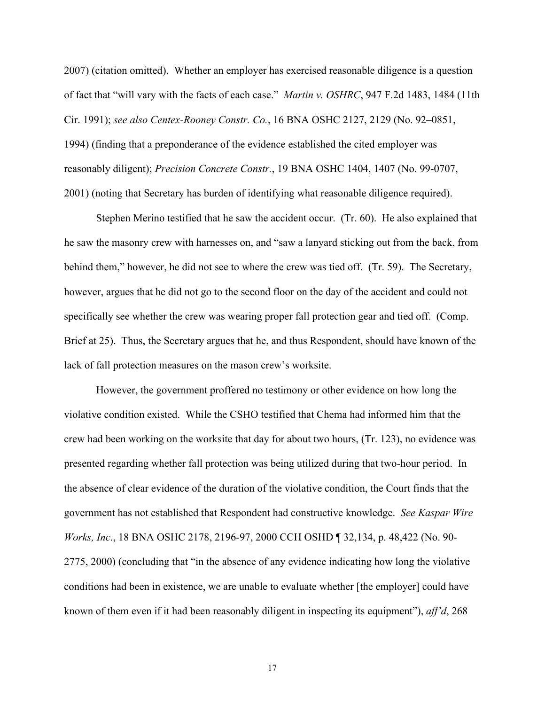2007) (citation omitted). Whether an employer has exercised reasonable diligence is a question of fact that "will vary with the facts of each case." *Martin v. OSHRC*, 947 F.2d 1483, 1484 (11th Cir. 1991); *see also Centex-Rooney Constr. Co.*, 16 BNA OSHC 2127, 2129 (No. 92–0851, 1994) (finding that a preponderance of the evidence established the cited employer was reasonably diligent); *Precision Concrete Constr.*, 19 BNA OSHC 1404, 1407 (No. 99-0707, 2001) (noting that Secretary has burden of identifying what reasonable diligence required).

 Stephen Merino testified that he saw the accident occur. (Tr. 60). He also explained that he saw the masonry crew with harnesses on, and "saw a lanyard sticking out from the back, from behind them," however, he did not see to where the crew was tied off. (Tr. 59). The Secretary, however, argues that he did not go to the second floor on the day of the accident and could not specifically see whether the crew was wearing proper fall protection gear and tied off. (Comp. Brief at 25). Thus, the Secretary argues that he, and thus Respondent, should have known of the lack of fall protection measures on the mason crew's worksite.

 However, the government proffered no testimony or other evidence on how long the violative condition existed. While the CSHO testified that Chema had informed him that the crew had been working on the worksite that day for about two hours, (Tr. 123), no evidence was presented regarding whether fall protection was being utilized during that two-hour period. In the absence of clear evidence of the duration of the violative condition, the Court finds that the government has not established that Respondent had constructive knowledge. *See Kaspar Wire Works, Inc*., 18 BNA OSHC 2178, 2196-97, 2000 CCH OSHD ¶ 32,134, p. 48,422 (No. 90- 2775, 2000) (concluding that "in the absence of any evidence indicating how long the violative conditions had been in existence, we are unable to evaluate whether [the employer] could have known of them even if it had been reasonably diligent in inspecting its equipment"), *aff'd*, 268